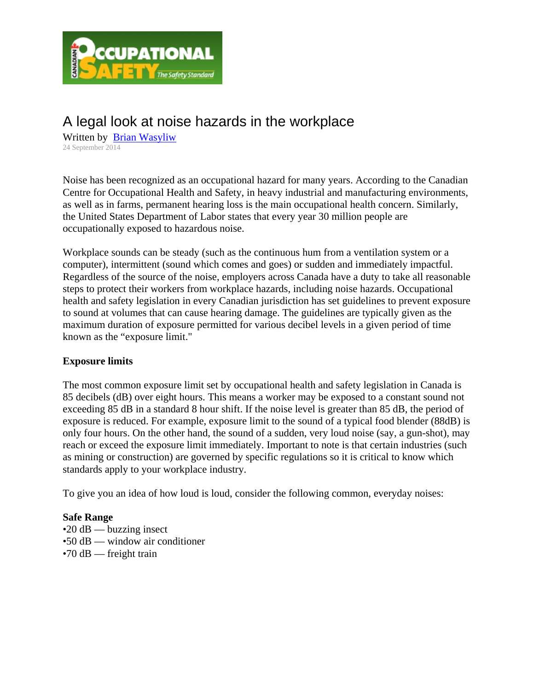

# A legal look at noise hazards in the workplace

Written by Brian Wasyliw 24 September 2014

Noise has been recognized as an occupational hazard for many years. According to the Canadian Centre for Occupational Health and Safety, in heavy industrial and manufacturing environments, as well as in farms, permanent hearing loss is the main occupational health concern. Similarly, the United States Department of Labor states that every year 30 million people are occupationally exposed to hazardous noise.

Workplace sounds can be steady (such as the continuous hum from a ventilation system or a computer), intermittent (sound which comes and goes) or sudden and immediately impactful. Regardless of the source of the noise, employers across Canada have a duty to take all reasonable steps to protect their workers from workplace hazards, including noise hazards. Occupational health and safety legislation in every Canadian jurisdiction has set guidelines to prevent exposure to sound at volumes that can cause hearing damage. The guidelines are typically given as the maximum duration of exposure permitted for various decibel levels in a given period of time known as the "exposure limit."

## **Exposure limits**

The most common exposure limit set by occupational health and safety legislation in Canada is 85 decibels (dB) over eight hours. This means a worker may be exposed to a constant sound not exceeding 85 dB in a standard 8 hour shift. If the noise level is greater than 85 dB, the period of exposure is reduced. For example, exposure limit to the sound of a typical food blender (88dB) is only four hours. On the other hand, the sound of a sudden, very loud noise (say, a gun-shot), may reach or exceed the exposure limit immediately. Important to note is that certain industries (such as mining or construction) are governed by specific regulations so it is critical to know which standards apply to your workplace industry.

To give you an idea of how loud is loud, consider the following common, everyday noises:

## **Safe Range**

- $\cdot$ 20 dB buzzing insect
- •50 dB window air conditioner
- $\cdot$ 70 dB freight train